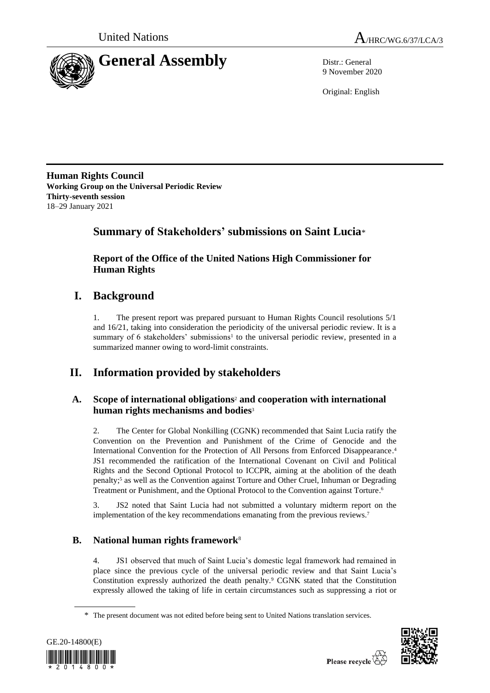



9 November 2020

Original: English

**Human Rights Council Working Group on the Universal Periodic Review Thirty-seventh session** 18–29 January 2021

# **Summary of Stakeholders' submissions on Saint Lucia**\*

**Report of the Office of the United Nations High Commissioner for Human Rights**

# **I. Background**

1. The present report was prepared pursuant to Human Rights Council resolutions 5/1 and 16/21, taking into consideration the periodicity of the universal periodic review. It is a summary of 6 stakeholders' submissions<sup>1</sup> to the universal periodic review, presented in a summarized manner owing to word-limit constraints.

# **II. Information provided by stakeholders**

# **A. Scope of international obligations**<sup>2</sup> **and cooperation with international human rights mechanisms and bodies**<sup>3</sup>

2. The Center for Global Nonkilling (CGNK) recommended that Saint Lucia ratify the Convention on the Prevention and Punishment of the Crime of Genocide and the International Convention for the Protection of All Persons from Enforced Disappearance. 4 JS1 recommended the ratification of the International Covenant on Civil and Political Rights and the Second Optional Protocol to ICCPR, aiming at the abolition of the death penalty; <sup>5</sup> as well as the Convention against Torture and Other Cruel, Inhuman or Degrading Treatment or Punishment, and the Optional Protocol to the Convention against Torture.<sup>6</sup>

3. JS2 noted that Saint Lucia had not submitted a voluntary midterm report on the implementation of the key recommendations emanating from the previous reviews.<sup>7</sup>

# **B. National human rights framework**<sup>8</sup>

4. JS1 observed that much of Saint Lucia's domestic legal framework had remained in place since the previous cycle of the universal periodic review and that Saint Lucia's Constitution expressly authorized the death penalty.<sup>9</sup> CGNK stated that the Constitution expressly allowed the taking of life in certain circumstances such as suppressing a riot or

<sup>\*</sup> The present document was not edited before being sent to United Nations translation services.



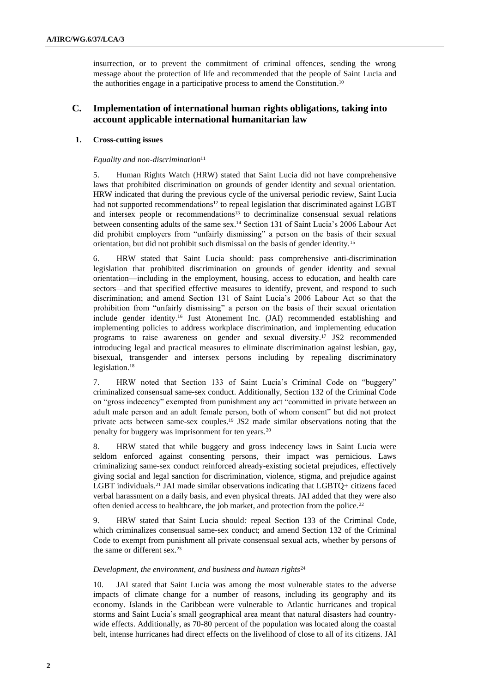insurrection, or to prevent the commitment of criminal offences, sending the wrong message about the protection of life and recommended that the people of Saint Lucia and the authorities engage in a participative process to amend the Constitution. 10

# **C. Implementation of international human rights obligations, taking into account applicable international humanitarian law**

## **1. Cross-cutting issues**

## *Equality and non-discrimination*<sup>11</sup>

5. Human Rights Watch (HRW) stated that Saint Lucia did not have comprehensive laws that prohibited discrimination on grounds of gender identity and sexual orientation. HRW indicated that during the previous cycle of the universal periodic review, Saint Lucia had not supported recommendations<sup>12</sup> to repeal legislation that discriminated against LGBT and intersex people or recommendations<sup>13</sup> to decriminalize consensual sexual relations between consenting adults of the same sex. <sup>14</sup> Section 131 of Saint Lucia's 2006 Labour Act did prohibit employers from "unfairly dismissing" a person on the basis of their sexual orientation, but did not prohibit such dismissal on the basis of gender identity.<sup>15</sup>

6. HRW stated that Saint Lucia should: pass comprehensive anti-discrimination legislation that prohibited discrimination on grounds of gender identity and sexual orientation—including in the employment, housing, access to education, and health care sectors—and that specified effective measures to identify, prevent, and respond to such discrimination; and amend Section 131 of Saint Lucia's 2006 Labour Act so that the prohibition from "unfairly dismissing" a person on the basis of their sexual orientation include gender identity.<sup>16</sup> Just Atonement Inc. (JAI) recommended establishing and implementing policies to address workplace discrimination, and implementing education programs to raise awareness on gender and sexual diversity.<sup>17</sup> JS2 recommended introducing legal and practical measures to eliminate discrimination against lesbian, gay, bisexual, transgender and intersex persons including by repealing discriminatory legislation.<sup>18</sup>

7. HRW noted that Section 133 of Saint Lucia's Criminal Code on "buggery" criminalized consensual same-sex conduct. Additionally, Section 132 of the Criminal Code on "gross indecency" exempted from punishment any act "committed in private between an adult male person and an adult female person, both of whom consent" but did not protect private acts between same-sex couples.<sup>19</sup> JS2 made similar observations noting that the penalty for buggery was imprisonment for ten years.<sup>20</sup>

8. HRW stated that while buggery and gross indecency laws in Saint Lucia were seldom enforced against consenting persons, their impact was pernicious. Laws criminalizing same-sex conduct reinforced already-existing societal prejudices, effectively giving social and legal sanction for discrimination, violence, stigma, and prejudice against LGBT individuals.<sup>21</sup> JAI made similar observations indicating that LGBTQ+ citizens faced verbal harassment on a daily basis, and even physical threats. JAI added that they were also often denied access to healthcare, the job market, and protection from the police.<sup>22</sup>

9. HRW stated that Saint Lucia should*:* repeal Section 133 of the Criminal Code, which criminalizes consensual same-sex conduct; and amend Section 132 of the Criminal Code to exempt from punishment all private consensual sexual acts, whether by persons of the same or different sex.<sup>23</sup>

### *Development, the environment, and business and human rights*<sup>24</sup>

10. JAI stated that Saint Lucia was among the most vulnerable states to the adverse impacts of climate change for a number of reasons, including its geography and its economy. Islands in the Caribbean were vulnerable to Atlantic hurricanes and tropical storms and Saint Lucia's small geographical area meant that natural disasters had countrywide effects. Additionally, as 70-80 percent of the population was located along the coastal belt, intense hurricanes had direct effects on the livelihood of close to all of its citizens. JAI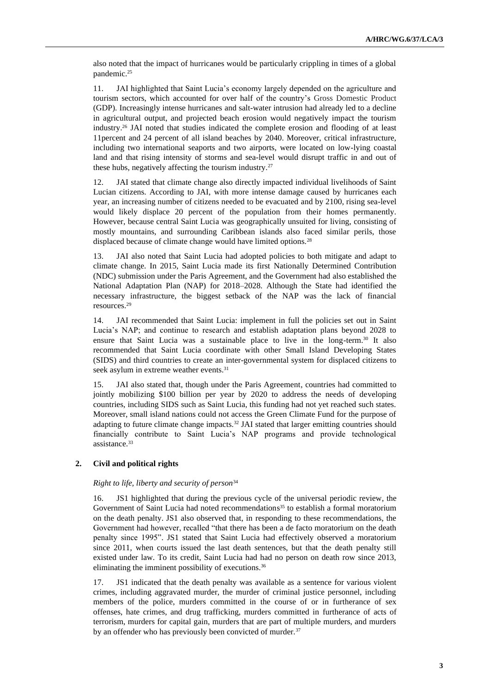also noted that the impact of hurricanes would be particularly crippling in times of a global pandemic.<sup>25</sup>

11. JAI highlighted that Saint Lucia's economy largely depended on the agriculture and tourism sectors, which accounted for over half of the country's Gross Domestic Product (GDP). Increasingly intense hurricanes and salt-water intrusion had already led to a decline in agricultural output, and projected beach erosion would negatively impact the tourism industry.<sup>26</sup> JAI noted that studies indicated the complete erosion and flooding of at least 11percent and 24 percent of all island beaches by 2040. Moreover, critical infrastructure, including two international seaports and two airports, were located on low-lying coastal land and that rising intensity of storms and sea-level would disrupt traffic in and out of these hubs, negatively affecting the tourism industry.<sup>27</sup>

12. JAI stated that climate change also directly impacted individual livelihoods of Saint Lucian citizens. According to JAI, with more intense damage caused by hurricanes each year, an increasing number of citizens needed to be evacuated and by 2100, rising sea-level would likely displace 20 percent of the population from their homes permanently. However, because central Saint Lucia was geographically unsuited for living, consisting of mostly mountains, and surrounding Caribbean islands also faced similar perils, those displaced because of climate change would have limited options.<sup>28</sup>

13. JAI also noted that Saint Lucia had adopted policies to both mitigate and adapt to climate change. In 2015, Saint Lucia made its first Nationally Determined Contribution (NDC) submission under the Paris Agreement, and the Government had also established the National Adaptation Plan (NAP) for 2018–2028. Although the State had identified the necessary infrastructure, the biggest setback of the NAP was the lack of financial resources.<sup>29</sup>

14. JAI recommended that Saint Lucia: implement in full the policies set out in Saint Lucia's NAP; and continue to research and establish adaptation plans beyond 2028 to ensure that Saint Lucia was a sustainable place to live in the long-term.<sup>30</sup> It also recommended that Saint Lucia coordinate with other Small Island Developing States (SIDS) and third countries to create an inter-governmental system for displaced citizens to seek asylum in extreme weather events.<sup>31</sup>

15. JAI also stated that, though under the Paris Agreement, countries had committed to jointly mobilizing \$100 billion per year by 2020 to address the needs of developing countries, including SIDS such as Saint Lucia, this funding had not yet reached such states. Moreover, small island nations could not access the Green Climate Fund for the purpose of adapting to future climate change impacts.<sup>32</sup> JAI stated that larger emitting countries should financially contribute to Saint Lucia's NAP programs and provide technological assistance.<sup>33</sup>

### **2. Civil and political rights**

### *Right to life, liberty and security of person*<sup>34</sup>

16. JS1 highlighted that during the previous cycle of the universal periodic review, the Government of Saint Lucia had noted recommendations<sup>35</sup> to establish a formal moratorium on the death penalty. JS1 also observed that, in responding to these recommendations, the Government had however, recalled "that there has been a de facto moratorium on the death penalty since 1995". JS1 stated that Saint Lucia had effectively observed a moratorium since 2011, when courts issued the last death sentences, but that the death penalty still existed under law. To its credit, Saint Lucia had had no person on death row since 2013, eliminating the imminent possibility of executions.<sup>36</sup>

17. JS1 indicated that the death penalty was available as a sentence for various violent crimes, including aggravated murder, the murder of criminal justice personnel, including members of the police, murders committed in the course of or in furtherance of sex offenses, hate crimes, and drug trafficking, murders committed in furtherance of acts of terrorism, murders for capital gain, murders that are part of multiple murders, and murders by an offender who has previously been convicted of murder.<sup>37</sup>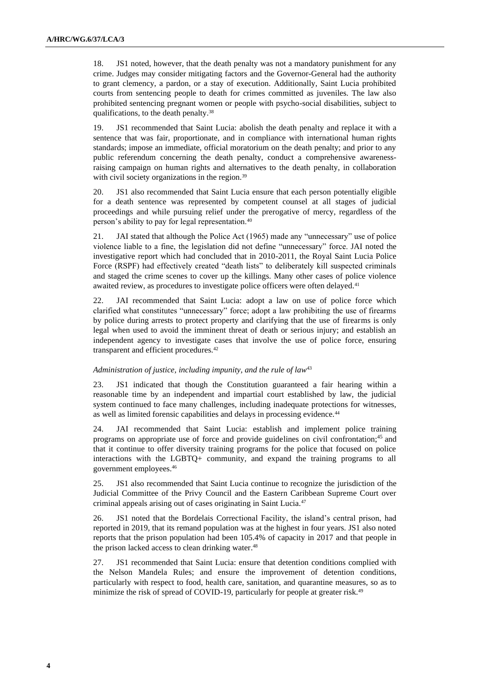18. JS1 noted, however, that the death penalty was not a mandatory punishment for any crime. Judges may consider mitigating factors and the Governor-General had the authority to grant clemency, a pardon, or a stay of execution. Additionally, Saint Lucia prohibited courts from sentencing people to death for crimes committed as juveniles. The law also prohibited sentencing pregnant women or people with psycho-social disabilities, subject to qualifications, to the death penalty.<sup>38</sup>

19. JS1 recommended that Saint Lucia: abolish the death penalty and replace it with a sentence that was fair, proportionate, and in compliance with international human rights standards; impose an immediate, official moratorium on the death penalty; and prior to any public referendum concerning the death penalty, conduct a comprehensive awarenessraising campaign on human rights and alternatives to the death penalty, in collaboration with civil society organizations in the region.<sup>39</sup>

20. JS1 also recommended that Saint Lucia ensure that each person potentially eligible for a death sentence was represented by competent counsel at all stages of judicial proceedings and while pursuing relief under the prerogative of mercy, regardless of the person's ability to pay for legal representation.<sup>40</sup>

21. JAI stated that although the Police Act (1965) made any "unnecessary" use of police violence liable to a fine, the legislation did not define "unnecessary" force. JAI noted the investigative report which had concluded that in 2010-2011, the Royal Saint Lucia Police Force (RSPF) had effectively created "death lists" to deliberately kill suspected criminals and staged the crime scenes to cover up the killings. Many other cases of police violence awaited review, as procedures to investigate police officers were often delayed.<sup>41</sup>

22. JAI recommended that Saint Lucia: adopt a law on use of police force which clarified what constitutes "unnecessary" force; adopt a law prohibiting the use of firearms by police during arrests to protect property and clarifying that the use of firearms is only legal when used to avoid the imminent threat of death or serious injury; and establish an independent agency to investigate cases that involve the use of police force, ensuring transparent and efficient procedures.<sup>42</sup>

#### *Administration of justice, including impunity, and the rule of law*<sup>43</sup>

23. JS1 indicated that though the Constitution guaranteed a fair hearing within a reasonable time by an independent and impartial court established by law, the judicial system continued to face many challenges, including inadequate protections for witnesses, as well as limited forensic capabilities and delays in processing evidence.<sup>44</sup>

24. JAI recommended that Saint Lucia: establish and implement police training programs on appropriate use of force and provide guidelines on civil confrontation; <sup>45</sup> and that it continue to offer diversity training programs for the police that focused on police interactions with the LGBTQ+ community, and expand the training programs to all government employees.<sup>46</sup>

25. JS1 also recommended that Saint Lucia continue to recognize the jurisdiction of the Judicial Committee of the Privy Council and the Eastern Caribbean Supreme Court over criminal appeals arising out of cases originating in Saint Lucia.<sup>47</sup>

26. JS1 noted that the Bordelais Correctional Facility, the island's central prison, had reported in 2019, that its remand population was at the highest in four years. JS1 also noted reports that the prison population had been 105.4% of capacity in 2017 and that people in the prison lacked access to clean drinking water. 48

27. JS1 recommended that Saint Lucia: ensure that detention conditions complied with the Nelson Mandela Rules; and ensure the improvement of detention conditions, particularly with respect to food, health care, sanitation, and quarantine measures, so as to minimize the risk of spread of COVID-19, particularly for people at greater risk.<sup>49</sup>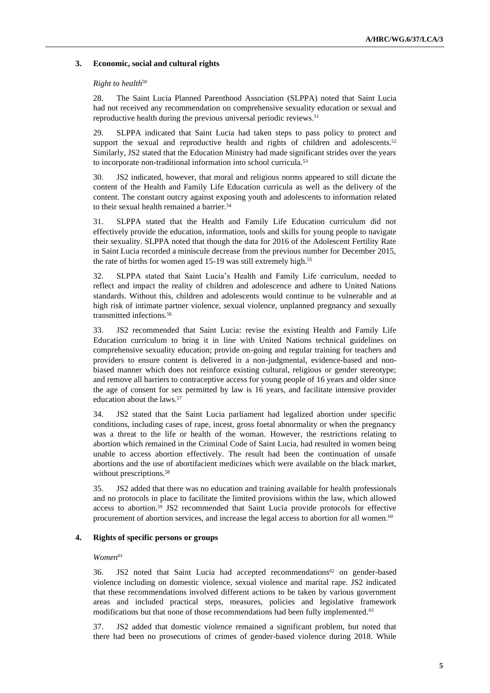### **3. Economic, social and cultural rights**

#### *Right to health*<sup>50</sup>

28. The Saint Lucia Planned Parenthood Association (SLPPA) noted that Saint Lucia had not received any recommendation on comprehensive sexuality education or sexual and reproductive health during the previous universal periodic reviews. 51

29. SLPPA indicated that Saint Lucia had taken steps to pass policy to protect and support the sexual and reproductive health and rights of children and adolescents. $52$ Similarly, JS2 stated that the Education Ministry had made significant strides over the years to incorporate non-traditional information into school curricula.<sup>53</sup>

30. JS2 indicated, however, that moral and religious norms appeared to still dictate the content of the Health and Family Life Education curricula as well as the delivery of the content. The constant outcry against exposing youth and adolescents to information related to their sexual health remained a barrier.<sup>54</sup>

31. SLPPA stated that the Health and Family Life Education curriculum did not effectively provide the education, information, tools and skills for young people to navigate their sexuality. SLPPA noted that though the data for 2016 of the Adolescent Fertility Rate in Saint Lucia recorded a miniscule decrease from the previous number for December 2015, the rate of births for women aged 15-19 was still extremely high.<sup>55</sup>

32. SLPPA stated that Saint Lucia's Health and Family Life curriculum, needed to reflect and impact the reality of children and adolescence and adhere to United Nations standards. Without this, children and adolescents would continue to be vulnerable and at high risk of intimate partner violence, sexual violence, unplanned pregnancy and sexually transmitted infections.<sup>56</sup>

33. JS2 recommended that Saint Lucia: revise the existing Health and Family Life Education curriculum to bring it in line with United Nations technical guidelines on comprehensive sexuality education; provide on-going and regular training for teachers and providers to ensure content is delivered in a non-judgmental, evidence-based and nonbiased manner which does not reinforce existing cultural, religious or gender stereotype; and remove all barriers to contraceptive access for young people of 16 years and older since the age of consent for sex permitted by law is 16 years, and facilitate intensive provider education about the laws.<sup>57</sup>

34. JS2 stated that the Saint Lucia parliament had legalized abortion under specific conditions, including cases of rape, incest, gross foetal abnormality or when the pregnancy was a threat to the life or health of the woman. However, the restrictions relating to abortion which remained in the Criminal Code of Saint Lucia, had resulted in women being unable to access abortion effectively. The result had been the continuation of unsafe abortions and the use of abortifacient medicines which were available on the black market, without prescriptions.<sup>58</sup>

35. JS2 added that there was no education and training available for health professionals and no protocols in place to facilitate the limited provisions within the law, which allowed access to abortion.<sup>59</sup> JS2 recommended that Saint Lucia provide protocols for effective procurement of abortion services, and increase the legal access to abortion for all women.<sup>60</sup>

#### **4. Rights of specific persons or groups**

#### $Women<sup>61</sup>$

 $36.$  JS2 noted that Saint Lucia had accepted recommendations<sup>62</sup> on gender-based violence including on domestic violence, sexual violence and marital rape. JS2 indicated that these recommendations involved different actions to be taken by various government areas and included practical steps, measures, policies and legislative framework modifications but that none of those recommendations had been fully implemented.<sup>63</sup>

37. JS2 added that domestic violence remained a significant problem, but noted that there had been no prosecutions of crimes of gender-based violence during 2018. While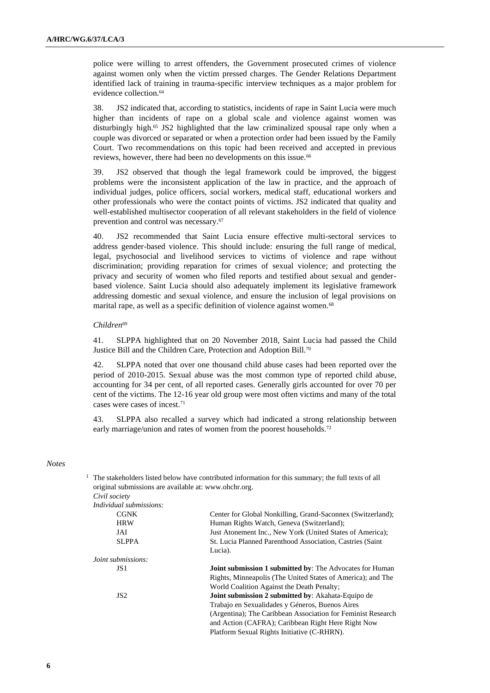police were willing to arrest offenders, the Government prosecuted crimes of violence against women only when the victim pressed charges. The Gender Relations Department identified lack of training in trauma-specific interview techniques as a major problem for evidence collection.<sup>64</sup>

38. JS2 indicated that, according to statistics, incidents of rape in Saint Lucia were much higher than incidents of rape on a global scale and violence against women was disturbingly high.<sup>65</sup> JS2 highlighted that the law criminalized spousal rape only when a couple was divorced or separated or when a protection order had been issued by the Family Court. Two recommendations on this topic had been received and accepted in previous reviews, however, there had been no developments on this issue.<sup>66</sup>

39. JS2 observed that though the legal framework could be improved, the biggest problems were the inconsistent application of the law in practice, and the approach of individual judges, police officers, social workers, medical staff, educational workers and other professionals who were the contact points of victims. JS2 indicated that quality and well-established multisector cooperation of all relevant stakeholders in the field of violence prevention and control was necessary.<sup>67</sup>

40. JS2 recommended that Saint Lucia ensure effective multi-sectoral services to address gender-based violence. This should include: ensuring the full range of medical, legal, psychosocial and livelihood services to victims of violence and rape without discrimination; providing reparation for crimes of sexual violence; and protecting the privacy and security of women who filed reports and testified about sexual and genderbased violence. Saint Lucia should also adequately implement its legislative framework addressing domestic and sexual violence, and ensure the inclusion of legal provisions on marital rape, as well as a specific definition of violence against women.<sup>68</sup>

#### *Children*<sup>69</sup>

41. SLPPA highlighted that on 20 November 2018, Saint Lucia had passed the Child Justice Bill and the Children Care, Protection and Adoption Bill.<sup>70</sup>

42. SLPPA noted that over one thousand child abuse cases had been reported over the period of 2010-2015. Sexual abuse was the most common type of reported child abuse, accounting for 34 per cent, of all reported cases. Generally girls accounted for over 70 per cent of the victims. The 12-16 year old group were most often victims and many of the total cases were cases of incest.<sup>71</sup>

43. SLPPA also recalled a survey which had indicated a strong relationship between early marriage/union and rates of women from the poorest households.<sup>72</sup>

 $<sup>1</sup>$  The stakeholders listed below have contributed information for this summary; the full texts of all</sup>

#### *Notes*

|                                                       | тне заксибного няса бего и нате сонатоакса пионнанон тог ану запинату, ате тап коль от ан |
|-------------------------------------------------------|-------------------------------------------------------------------------------------------|
| original submissions are available at: www.ohchr.org. |                                                                                           |
| Civil society                                         |                                                                                           |
| Individual submissions:                               |                                                                                           |
| <b>CGNK</b>                                           | Center for Global Nonkilling, Grand-Saconnex (Switzerland);                               |
| <b>HRW</b>                                            | Human Rights Watch, Geneva (Switzerland);                                                 |
| JAI                                                   | Just Atonement Inc., New York (United States of America);                                 |
| <b>SLPPA</b>                                          | St. Lucia Planned Parenthood Association, Castries (Saint)                                |
|                                                       | Lucia).                                                                                   |
| <i>loint submissions:</i>                             |                                                                                           |
| JS 1                                                  | Joint submission 1 submitted by: The Advocates for Human                                  |
|                                                       | Rights, Minneapolis (The United States of America); and The                               |
|                                                       | World Coalition Against the Death Penalty;                                                |
| JS <sub>2</sub>                                       | <b>Joint submission 2 submitted by:</b> Akahata-Equipo de                                 |
|                                                       | Trabajo en Sexualidades y Géneros, Buenos Aires                                           |
|                                                       | (Argentina); The Caribbean Association for Feminist Research                              |
|                                                       | and Action (CAFRA); Caribbean Right Here Right Now                                        |
|                                                       | Platform Sexual Rights Initiative (C-RHRN).                                               |
|                                                       |                                                                                           |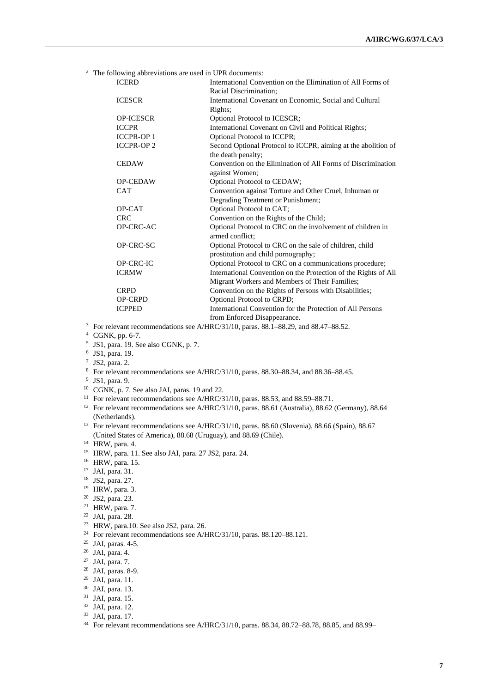<sup>2</sup> The following abbreviations are used in UPR documents:

| <b>ICERD</b>      | International Convention on the Elimination of All Forms of     |
|-------------------|-----------------------------------------------------------------|
|                   | Racial Discrimination;                                          |
| <b>ICESCR</b>     | International Covenant on Economic, Social and Cultural         |
|                   | Rights:                                                         |
| <b>OP-ICESCR</b>  | Optional Protocol to ICESCR;                                    |
| <b>ICCPR</b>      | International Covenant on Civil and Political Rights;           |
| <b>ICCPR-OP 1</b> | Optional Protocol to ICCPR;                                     |
| <b>ICCPR-OP 2</b> | Second Optional Protocol to ICCPR, aiming at the abolition of   |
|                   | the death penalty;                                              |
| <b>CEDAW</b>      | Convention on the Elimination of All Forms of Discrimination    |
|                   | against Women;                                                  |
| <b>OP-CEDAW</b>   | Optional Protocol to CEDAW;                                     |
| <b>CAT</b>        | Convention against Torture and Other Cruel, Inhuman or          |
|                   | Degrading Treatment or Punishment;                              |
| OP-CAT            | Optional Protocol to CAT;                                       |
| <b>CRC</b>        | Convention on the Rights of the Child;                          |
| OP-CRC-AC         | Optional Protocol to CRC on the involvement of children in      |
|                   | armed conflict:                                                 |
| OP-CRC-SC         | Optional Protocol to CRC on the sale of children, child         |
|                   | prostitution and child pornography;                             |
| OP-CRC-IC         | Optional Protocol to CRC on a communications procedure;         |
| <b>ICRMW</b>      | International Convention on the Protection of the Rights of All |
|                   | Migrant Workers and Members of Their Families;                  |
| <b>CRPD</b>       | Convention on the Rights of Persons with Disabilities;          |
| <b>OP-CRPD</b>    | Optional Protocol to CRPD;                                      |
| <b>ICPPED</b>     | International Convention for the Protection of All Persons      |
|                   | from Enforced Disappearance.                                    |

<sup>3</sup> For relevant recommendations see A/HRC/31/10, paras. 88.1–88.29, and 88.47–88.52.

- 5 JS1, para. 19. See also CGNK, p. 7.
- 6 JS1, para. 19.
- $7$  JS2, para. 2.
- <sup>8</sup> For relevant recommendations see A/HRC/31/10, paras. 88.30–88.34, and 88.36–88.45.
- 9 JS1, para. 9.
- <sup>10</sup> CGNK, p. 7. See also JAI, paras. 19 and 22.
- <sup>11</sup> For relevant recommendations see A/HRC/31/10, paras. 88.53, and 88.59–88.71.
- <sup>12</sup> For relevant recommendations see A/HRC/31/10, paras. 88.61 (Australia), 88.62 (Germany), 88.64 (Netherlands).

<sup>13</sup> For relevant recommendations see A/HRC/31/10, paras. 88.60 (Slovenia), 88.66 (Spain), 88.67 (United States of America), 88.68 (Uruguay), and 88.69 (Chile).

- <sup>14</sup> HRW, para. 4.
- <sup>15</sup> HRW, para. 11. See also JAI, para. 27 JS2, para. 24.
- <sup>16</sup> HRW, para. 15.
- <sup>17</sup> JAI, para. 31.
- <sup>18</sup> JS2, para. 27.
- <sup>19</sup> HRW, para. 3.
- <sup>20</sup> JS2, para. 23.
- <sup>21</sup> HRW, para. 7.
- <sup>22</sup> JAI, para. 28.
- <sup>23</sup> HRW, para.10. See also JS2, para. 26.
- <sup>24</sup> For relevant recommendations see A/HRC/31/10, paras. 88.120-88.121.
- <sup>25</sup> JAI, paras. 4-5.
- <sup>26</sup> JAI, para. 4.
- <sup>27</sup> JAI, para. 7.
- <sup>28</sup> JAI, paras. 8-9.
- <sup>29</sup> JAI, para. 11.
- <sup>30</sup> JAI, para. 13.
- <sup>31</sup> JAI, para. 15.
- <sup>32</sup> JAI, para. 12.
- <sup>33</sup> JAI, para. 17.
- <sup>34</sup> For relevant recommendations see A/HRC/31/10, paras. 88.34, 88.72–88.78, 88.85, and 88.99–

<sup>4</sup> CGNK, pp. 6-7.